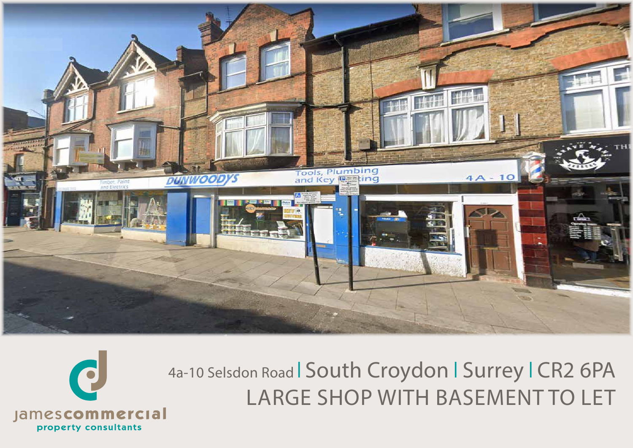



4a-10 Selsdon Road | South Croydon | Surrey | CR2 6PA LARGE SHOP WITH BASEMENT TO LET